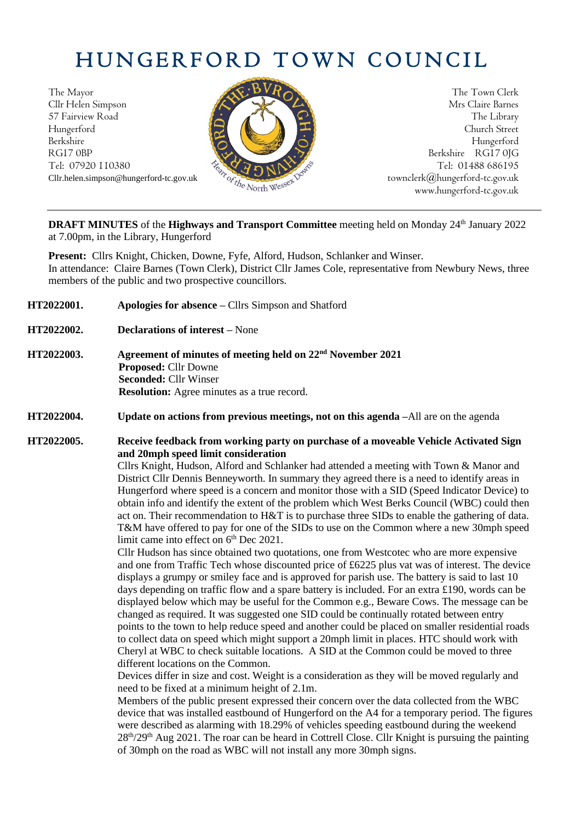## HUNGERFORD TOWN COUNCIL

The Mayor The Town Clerk Cllr Helen Simpson Mrs Claire Barnes 57 Fairview Road The Library (1999) and the Library (1999) and the Library (1999) and the Library (1999) and the Library (1999) and the Library (1999) and the Library (1999) and the Library (1999) and the Library (1999) an Hungerford Church Street Berkshire Hungerford RG17 0BP Berkshire RG17 0JG Tel: 07920 110380  $\frac{1}{2} \sqrt{2} \sqrt{2} N N^2$ 



Cllr.helen.simpson@hungerford-tc.gov.uk [townclerk@hungerford-tc.gov.uk](mailto:townclerk@hungerford-tc.gov.uk) townclerk@hungerford-tc.gov.uk www.hungerford-tc.gov.uk www.hungerford-tc.gov.uk

**DRAFT MINUTES** of the Highways and Transport Committee meeting held on Monday 24<sup>th</sup> January 2022 at 7.00pm, in the Library, Hungerford

**Present:** Cllrs Knight, Chicken, Downe, Fyfe, Alford, Hudson, Schlanker and Winser. In attendance: Claire Barnes (Town Clerk), District Cllr James Cole, representative from Newbury News, three members of the public and two prospective councillors.

- **HT2022001. Apologies for absence –** Cllrs Simpson and Shatford
- **HT2022002. Declarations of interest –** None
- **HT2022003. Agreement of minutes of meeting held on 22 nd November 2021 Proposed:** Cllr Downe **Seconded:** Cllr Winser **Resolution:** Agree minutes as a true record.
- **HT2022004. Update on actions from previous meetings, not on this agenda –**All are on the agenda

**HT2022005. Receive feedback from working party on purchase of a moveable Vehicle Activated Sign and 20mph speed limit consideration**

Cllrs Knight, Hudson, Alford and Schlanker had attended a meeting with Town & Manor and District Cllr Dennis Benneyworth. In summary they agreed there is a need to identify areas in Hungerford where speed is a concern and monitor those with a SID (Speed Indicator Device) to obtain info and identify the extent of the problem which West Berks Council (WBC) could then act on. Their recommendation to H&T is to purchase three SIDs to enable the gathering of data. T&M have offered to pay for one of the SIDs to use on the Common where a new 30mph speed limit came into effect on 6<sup>th</sup> Dec 2021.

Cllr Hudson has since obtained two quotations, one from Westcotec who are more expensive and one from Traffic Tech whose discounted price of £6225 plus vat was of interest. The device displays a grumpy or smiley face and is approved for parish use. The battery is said to last 10 days depending on traffic flow and a spare battery is included. For an extra £190, words can be displayed below which may be useful for the Common e.g., Beware Cows. The message can be changed as required. It was suggested one SID could be continually rotated between entry points to the town to help reduce speed and another could be placed on smaller residential roads to collect data on speed which might support a 20mph limit in places. HTC should work with Cheryl at WBC to check suitable locations. A SID at the Common could be moved to three different locations on the Common.

Devices differ in size and cost. Weight is a consideration as they will be moved regularly and need to be fixed at a minimum height of 2.1m.

Members of the public present expressed their concern over the data collected from the WBC device that was installed eastbound of Hungerford on the A4 for a temporary period. The figures were described as alarming with 18.29% of vehicles speeding eastbound during the weekend  $28<sup>th</sup>/29<sup>th</sup>$  Aug 2021. The roar can be heard in Cottrell Close. Cllr Knight is pursuing the painting of 30mph on the road as WBC will not install any more 30mph signs.